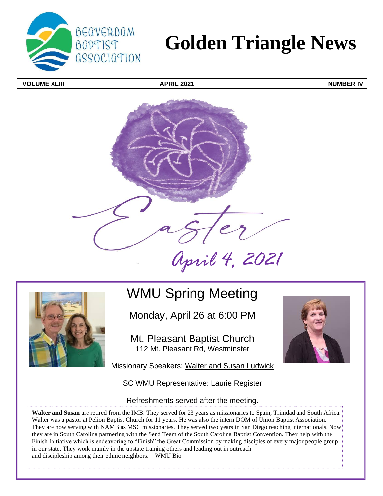

# **Golden Triangle News**

**VOLUME XLIII APRIL 2021 NUMBER IV**





## WMU Spring Meeting

Monday, April 26 at 6:00 PM

Mt. Pleasant Baptist Church 112 Mt. Pleasant Rd, Westminster

Missionary Speakers: Walter and Susan Ludwick

SC WMU Representative: Laurie Register

#### Refreshments served after the meeting.

**Walter and Susan** are retired from the IMB. They served for 23 years as missionaries to Spain, Trinidad and South Africa. Walter was a pastor at Pelion Baptist Church for 11 years. He was also the intern DOM of Union Baptist Association. They are now serving with NAMB as MSC missionaries. They served two years in San Diego reaching internationals. Now they are in South Carolina partnering with the Send Team of the South Carolina Baptist Convention. They help with the Finish Initiative which is endeavoring to "Finish" the Great Commission by making disciples of every major people group in our state. They work mainly in the upstate training others and leading out in outreach and discipleship among their ethnic neighbors. – WMU Bio

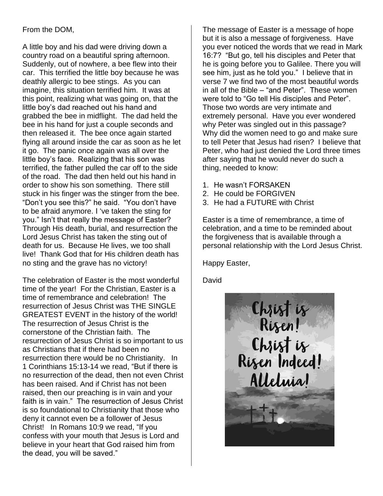#### From the DOM,

A little boy and his dad were driving down a country road on a beautiful spring afternoon. Suddenly, out of nowhere, a bee flew into their car. This terrified the little boy because he was deathly allergic to bee stings. As you can imagine, this situation terrified him. It was at this point, realizing what was going on, that the little boy's dad reached out his hand and grabbed the bee in midflight. The dad held the bee in his hand for just a couple seconds and then released it. The bee once again started flying all around inside the car as soon as he let it go. The panic once again was all over the little boy's face. Realizing that his son was terrified, the father pulled the car off to the side of the road. The dad then held out his hand in order to show his son something. There still stuck in his finger was the stinger from the bee. "Don't you see this?" he said. "You don't have to be afraid anymore. I 've taken the sting for you." Isn't that really the message of Easter? Through His death, burial, and resurrection the Lord Jesus Christ has taken the sting out of death for us. Because He lives, we too shall live! Thank God that for His children death has no sting and the grave has no victory!

The celebration of Easter is the most wonderful time of the year! For the Christian, Easter is a time of remembrance and celebration! The resurrection of Jesus Christ was THE SINGLE GREATEST EVENT in the history of the world! The resurrection of Jesus Christ is the cornerstone of the Christian faith. The resurrection of Jesus Christ is so important to us as Christians that if there had been no resurrection there would be no Christianity. In 1 Corinthians 15:13-14 we read, "But if there is no resurrection of the dead, then not even Christ has been raised. And if Christ has not been raised, then our preaching is in vain and your faith is in vain." The resurrection of Jesus Christ is so foundational to Christianity that those who deny it cannot even be a follower of Jesus Christ! In Romans 10:9 we read, "If you confess with your mouth that Jesus is Lord and believe in your heart that God raised him from the dead, you will be saved."

The message of Easter is a message of hope but it is also a message of forgiveness. Have you ever noticed the words that we read in Mark 16:7? "But go, tell his disciples and Peter that he is going before you to Galilee. There you will see him, just as he told you." I believe that in verse 7 we find two of the most beautiful words in all of the Bible – "and Peter". These women were told to "Go tell His disciples and Peter". Those two words are very intimate and extremely personal. Have you ever wondered why Peter was singled out in this passage? Why did the women need to go and make sure to tell Peter that Jesus had risen? I believe that Peter, who had just denied the Lord three times after saying that he would never do such a thing, needed to know:

- 1. He wasn't FORSAKEN
- 2. He could be FORGIVEN
- 3. He had a FUTURE with Christ

Easter is a time of remembrance, a time of celebration, and a time to be reminded about the forgiveness that is available through a personal relationship with the Lord Jesus Christ.

Happy Easter,

David

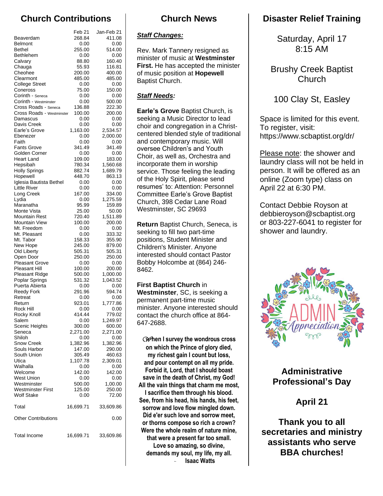## **Church Contributions**

|                                               | Feb 21           | Jan-Feb 21         |
|-----------------------------------------------|------------------|--------------------|
| Beaverdam                                     | 268.84           | 411.08             |
| <b>Belmont</b>                                | 0.00             | 0.00               |
| <b>Bethel</b>                                 | 255.00           | 514.00             |
| Bethlehem<br>Calvary                          | 0.00<br>88.80    | 0.00<br>160.40     |
| Chauga                                        | 55.93            | 116.81             |
| Cheohee                                       | 200.00           | 400.00             |
| Clearmont                                     | 485.00           | 485.00             |
| <b>College Street</b>                         | 0.00             | 0.00               |
| Coneross                                      | 75.00            | 150.00             |
| Corinth - Seneca<br>Corinth - Westminster     | 0.00<br>0.00     | 0.00<br>500.00     |
| Cross Roads - Seneca                          | 136.88           | 222.30             |
| Cross Roads - Westminster                     | 100.00           | 200.00             |
| Damascus                                      | 0.00             | 0.00               |
| Davis Creek                                   | 0.00             | 0.00               |
| Earle's Grove                                 | 1,163.00         | 2,534.57           |
| Ebenezer                                      | 0.00             | 2,000.00           |
| Faith<br><b>Fants Grove</b>                   | 0.00<br>341.49   | 0.00<br>341.49     |
| Golden Corner                                 | 0.00             | 0.00               |
| <b>Heart Land</b>                             | 109.00           | 183.00             |
| Hepsibah                                      | 780.34           | 1,560.68           |
| <b>Holly Springs</b>                          | 882.74           | 1,689.79           |
| Hopewell                                      | 448.70           | 863.13             |
| Iglesia Bautista Bethel<br>Little River       | 0.00<br>0.00     | 0.00<br>0.00       |
| Long Creek                                    | 167.00           | 334.00             |
| Lydia                                         | 0.00             | 1,275.59           |
| Maranatha                                     | 95.99            | 159.89             |
| Monte Vista                                   | 25.00            | 50.00              |
| Mountain Rest                                 | 720.40           | 1,511.89           |
| Mountain View                                 | 100.00           | 200.00             |
| Mt. Freedom<br>Mt. Pleasant                   | 0.00<br>0.00     | 0.00<br>333.32     |
| Mt. Tabor                                     | 158.33           | 355.90             |
| New Hope                                      | 245.00           | 879.00             |
| Old Liberty                                   | 505.31           | 505.31             |
| Open Door                                     | 250.00           | 250.00             |
| <b>Pleasant Grove</b>                         | 0.00             | 0.00               |
| <b>Pleasant Hill</b><br>Pleasant Ridge        | 100.00<br>500.00 | 200.00<br>1,000.00 |
| Poplar Springs                                | 531.32           | 1,043.52           |
| Puerta Abierta                                | 0.00             | 0.00               |
| <b>Reedy Fork</b>                             | 291.96           | 594.74             |
| Retreat                                       | 0.00             | 0.00               |
| Return                                        | 923.01           | 1,777.86           |
| Rock Hill<br>Rocky Knoll                      | 0.00<br>414.44   | 0.00<br>779.02     |
| Salem                                         | 0.00             | 1,249.97           |
| Scenic Heights                                | 300.00           | 600.00             |
| Seneca                                        | 2,271.00         | 2,271.00           |
| Shiloh                                        | 0.00             | 0.00               |
| <b>Snow Creek</b>                             | 1,382.96         | 1,382.96           |
| Souls Harbor<br>South Union                   | 147.00<br>305.49 | 290.00<br>460.63   |
| Utica                                         | 1,107.78         | 2,309.01           |
| Walhalla                                      | 0.00             | 0.00               |
| Welcome                                       | 142.00           | 142.00             |
| <b>West Union</b>                             | 0.00             | 0.00               |
| Westminster                                   | 500.00           | 1,00.00            |
| <b>Westminster First</b><br><b>Wolf Stake</b> | 125.00<br>0.00   | 250.00<br>72.00    |
|                                               |                  |                    |
| Total                                         | 16,699.71        | 33,609.86          |
| <b>Other Contributions</b>                    |                  | 0.00               |
| <b>Total Income</b>                           | 16,699.71        | 33,609.86          |

### **Church News**

#### *Staff Changes:*

Rev. Mark Tannery resigned as minister of music at **Westminster First.** He has accepted the minister of music position at **Hopewell** Baptist Church.

#### *Staff Needs:*

**Earle's Grove** Baptist Church, is seeking a Music Director to lead choir and congregation in a Christcentered blended style of traditional and contemporary music. Will oversee Children's and Youth Choir, as well as, Orchestra and incorporate them in worship service. Those feeling the leading of the Holy Spirit, please send resumes' to: Attention: Personnel Committee Earle's Grove Baptist Church, 398 Cedar Lane Road Westminster, SC 29693

**Return** Baptist Church, Seneca, is seeking to fill two part-time positions, Student Minister and Children's Minister. Anyone interested should contact Pastor Bobby Holcombe at (864) 246- 8462.

**First Baptist Church** in **Westminster**, SC, is seeking a permanent part-time music minister. Anyone interested should contact the church office at 864- 647-2688.

*W***hen I survey the wondrous cross on which the Prince of glory died, my richest gain I count but loss, and pour contempt on all my pride. Forbid it, Lord, that I should boast save in the death of Christ, my God! All the vain things that charm me most, I sacrifice them through his blood. See, from his head, his hands, his feet, sorrow and love flow mingled down. Did e'er such love and sorrow meet, or thorns compose so rich a crown? Were the whole realm of nature mine, that were a present far too small. Love so amazing, so divine, demands my soul, my life, my all.** - **Isaac Watts**

## **Disaster Relief Training**

Saturday, April 17 8:15 AM

Brushy Creek Baptist Church

#### 100 Clay St, Easley

Space is limited for this event. To register, visit: https://www.scbaptist.org/dr/

Please note: the shower and laundry class will not be held in person. It will be offered as an online (Zoom type) class on April 22 at 6:30 PM.

Contact Debbie Royson at debbieroyson@scbaptist.org or 803-227-6041 to register for shower and laundry.



**Administrative Professional's Day** 

## **April 21**

**Thank you to all secretaries and ministry assistants who serve BBA churches!**